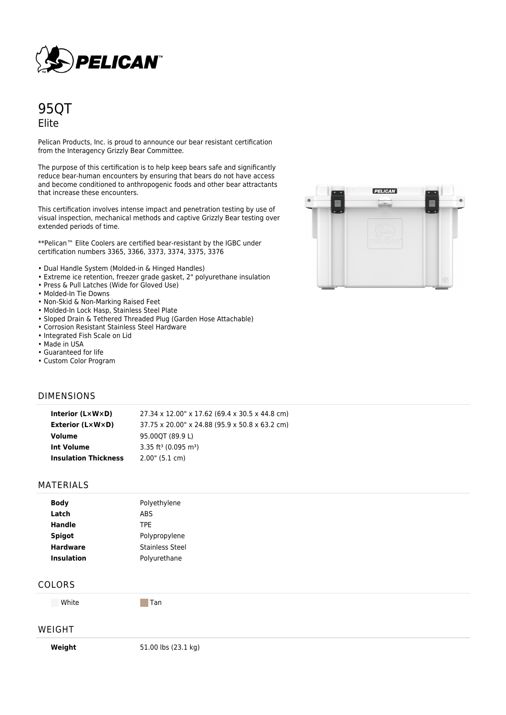

# 95QT Elite

Pelican Products, Inc. is proud to announce our bear resistant certification from the Interagency Grizzly Bear Committee.

The purpose of this certification is to help keep bears safe and significantly reduce bear-human encounters by ensuring that bears do not have access and become conditioned to anthropogenic foods and other bear attractants that increase these encounters.

This certification involves intense impact and penetration testing by use of visual inspection, mechanical methods and captive Grizzly Bear testing over extended periods of time.

\*\*Pelican™ Elite Coolers are certified bear-resistant by the IGBC under certification numbers 3365, 3366, 3373, 3374, 3375, 3376

- Dual Handle System (Molded-in & Hinged Handles)
- Extreme ice retention, freezer grade gasket, 2" polyurethane insulation
- Press & Pull Latches (Wide for Gloved Use)
- Molded-In Tie Downs
- Non-Skid & Non-Marking Raised Feet
- Molded-In Lock Hasp, Stainless Steel Plate
- Sloped Drain & Tethered Threaded Plug (Garden Hose Attachable)
- Corrosion Resistant Stainless Steel Hardware
- Integrated Fish Scale on Lid
- Made in USA
- Guaranteed for life
- Custom Color Program

### DIMENSIONS

| Interior $(L \times W \times D)$ | 27.34 x 12.00" x 17.62 (69.4 x 30.5 x 44.8 cm) |
|----------------------------------|------------------------------------------------|
| <b>Exterior (L×W×D)</b>          | 37.75 x 20.00" x 24.88 (95.9 x 50.8 x 63.2 cm) |
| Volume                           | 95.00OT (89.9 L)                               |
| Int Volume                       | 3.35 ft <sup>3</sup> (0.095 m <sup>3</sup> )   |
| <b>Insulation Thickness</b>      | $2.00$ " (5.1 cm)                              |

#### MATERIALS

| <b>Body</b>       | Polyethylene           |  |
|-------------------|------------------------|--|
| Latch             | <b>ABS</b>             |  |
| <b>Handle</b>     | TPE.                   |  |
| <b>Spigot</b>     | Polypropylene          |  |
| <b>Hardware</b>   | <b>Stainless Steel</b> |  |
| <b>Insulation</b> | Polyurethane           |  |

#### COLORS

White **Tan** 

#### WEIGHT